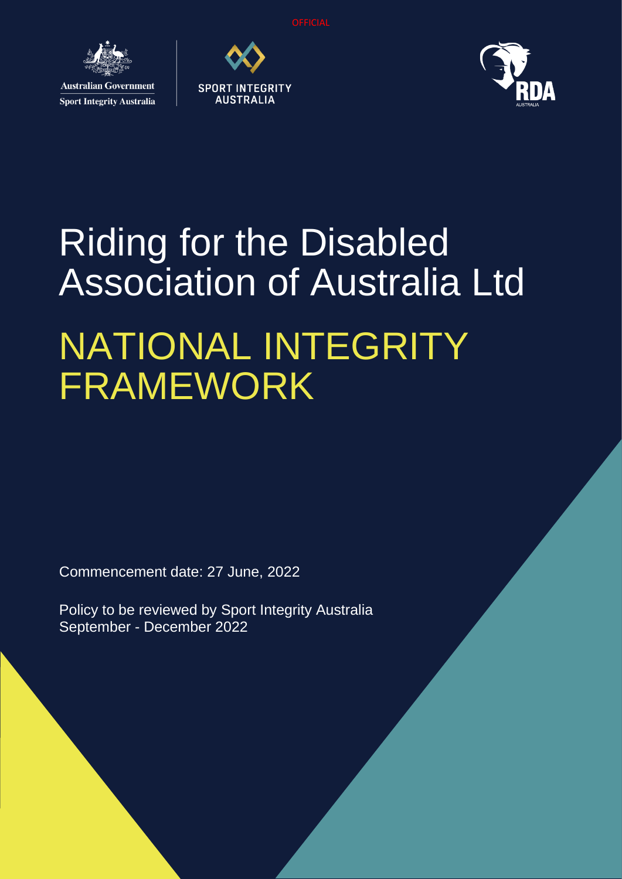

**Sport Integrity Australia** 





# Riding for the Disabled Association of Australia Ltd NATIONAL INTEGRITY FRAMEWORK

Commencement date: 27 June, 2022

Policy to be reviewed by Sport Integrity Australia September - December 2022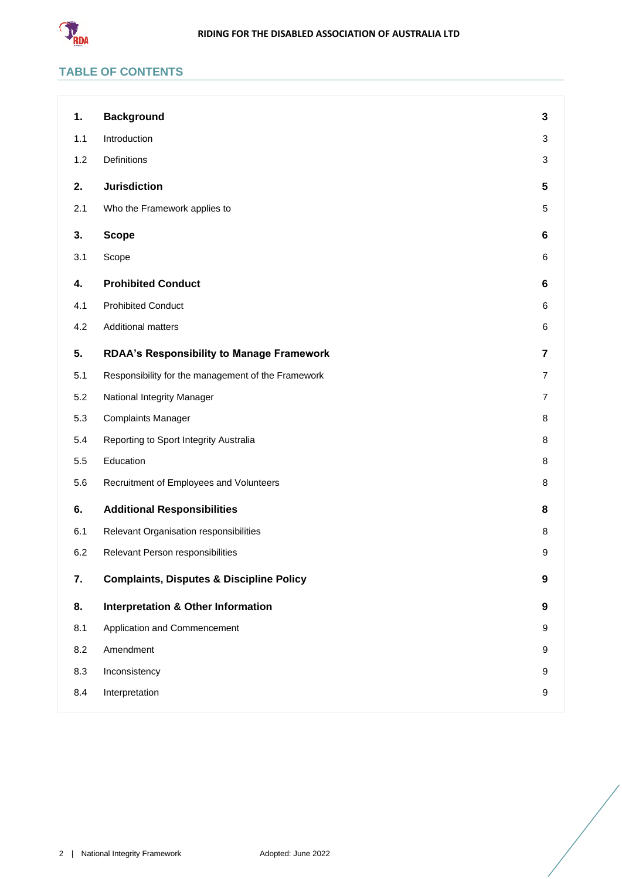

## **TABLE OF CONTENTS**

| 1.  | <b>Background</b>                                   | $\mathbf 3$             |
|-----|-----------------------------------------------------|-------------------------|
| 1.1 | Introduction                                        | 3                       |
| 1.2 | Definitions                                         | 3                       |
| 2.  | <b>Jurisdiction</b>                                 | 5                       |
| 2.1 | Who the Framework applies to                        | 5                       |
| 3.  | <b>Scope</b>                                        | 6                       |
| 3.1 | Scope                                               | 6                       |
| 4.  | <b>Prohibited Conduct</b>                           | 6                       |
| 4.1 | <b>Prohibited Conduct</b>                           | 6                       |
| 4.2 | <b>Additional matters</b>                           | 6                       |
| 5.  | RDAA's Responsibility to Manage Framework           | $\overline{\mathbf{r}}$ |
| 5.1 | Responsibility for the management of the Framework  | $\overline{7}$          |
| 5.2 | National Integrity Manager                          | 7                       |
| 5.3 | <b>Complaints Manager</b>                           | 8                       |
| 5.4 | Reporting to Sport Integrity Australia              | 8                       |
| 5.5 | Education                                           | 8                       |
| 5.6 | Recruitment of Employees and Volunteers             | 8                       |
| 6.  | <b>Additional Responsibilities</b>                  | 8                       |
| 6.1 | Relevant Organisation responsibilities              | 8                       |
| 6.2 | Relevant Person responsibilities                    | 9                       |
| 7.  | <b>Complaints, Disputes &amp; Discipline Policy</b> | $\boldsymbol{9}$        |
| 8.  | <b>Interpretation &amp; Other Information</b>       | 9                       |
| 8.1 | Application and Commencement                        | 9                       |
| 8.2 | Amendment                                           | 9                       |
| 8.3 | Inconsistency                                       | 9                       |
| 8.4 | Interpretation                                      | 9                       |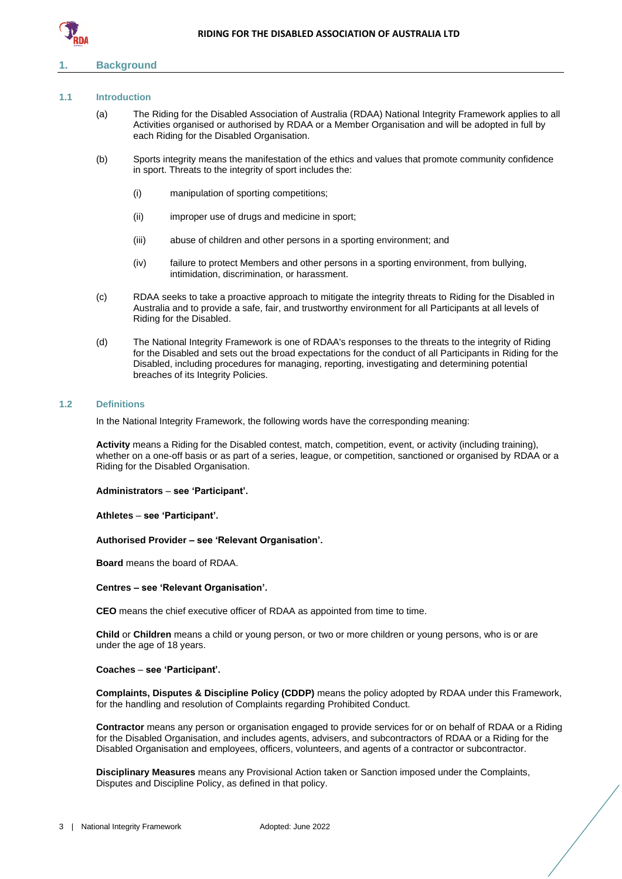

## <span id="page-2-0"></span>**1. Background**

#### <span id="page-2-1"></span>**1.1 Introduction**

- (a) The Riding for the Disabled Association of Australia (RDAA) National Integrity Framework applies to all Activities organised or authorised by RDAA or a Member Organisation and will be adopted in full by each Riding for the Disabled Organisation.
- (b) Sports integrity means the manifestation of the ethics and values that promote community confidence in sport. Threats to the integrity of sport includes the:
	- (i) manipulation of sporting competitions;
	- (ii) improper use of drugs and medicine in sport;
	- (iii) abuse of children and other persons in a sporting environment; and
	- (iv) failure to protect Members and other persons in a sporting environment, from bullying, intimidation, discrimination, or harassment.
- (c) RDAA seeks to take a proactive approach to mitigate the integrity threats to Riding for the Disabled in Australia and to provide a safe, fair, and trustworthy environment for all Participants at all levels of Riding for the Disabled.
- (d) The National Integrity Framework is one of RDAA's responses to the threats to the integrity of Riding for the Disabled and sets out the broad expectations for the conduct of all Participants in Riding for the Disabled, including procedures for managing, reporting, investigating and determining potential breaches of its Integrity Policies.

#### <span id="page-2-2"></span>**1.2 Definitions**

In the National Integrity Framework, the following words have the corresponding meaning:

**Activity** means a Riding for the Disabled contest, match, competition, event, or activity (including training), whether on a one-off basis or as part of a series, league, or competition, sanctioned or organised by RDAA or a Riding for the Disabled Organisation.

**Administrators** – **see 'Participant'.**

**Athletes** – **see 'Participant'.**

**Authorised Provider – see 'Relevant Organisation'.**

**Board** means the board of RDAA.

**Centres – see 'Relevant Organisation'.**

**CEO** means the chief executive officer of RDAA as appointed from time to time.

**Child** or **Children** means a child or young person, or two or more children or young persons, who is or are under the age of 18 years.

#### **Coaches** – **see 'Participant'.**

**Complaints, Disputes & Discipline Policy (CDDP)** means the policy adopted by RDAA under this Framework, for the handling and resolution of Complaints regarding Prohibited Conduct.

**Contractor** means any person or organisation engaged to provide services for or on behalf of RDAA or a Riding for the Disabled Organisation, and includes agents, advisers, and subcontractors of RDAA or a Riding for the Disabled Organisation and employees, officers, volunteers, and agents of a contractor or subcontractor.

**Disciplinary Measures** means any Provisional Action taken or Sanction imposed under the Complaints, Disputes and Discipline Policy, as defined in that policy.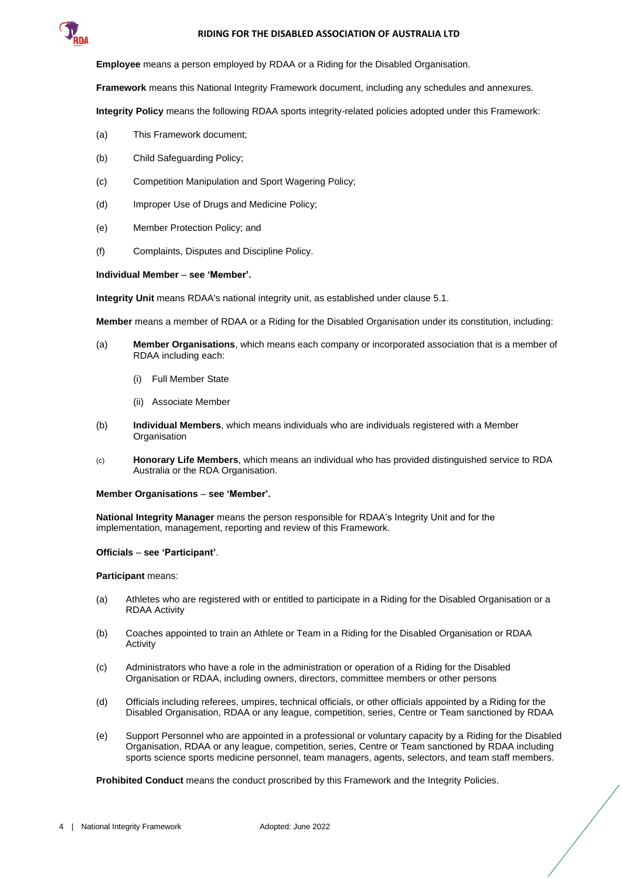

**Employee** means a person employed by RDAA or a Riding for the Disabled Organisation.

**Framework** means this National Integrity Framework document, including any schedules and annexures.

**Integrity Policy** means the following RDAA sports integrity-related policies adopted under this Framework:

- (a) This Framework document;
- (b) Child Safeguarding Policy;
- (c) Competition Manipulation and Sport Wagering Policy;
- (d) Improper Use of Drugs and Medicine Policy;
- (e) Member Protection Policy; and
- (f) Complaints, Disputes and Discipline Policy.

#### **Individual Member** – **see 'Member'.**

**Integrity Unit** means RDAA's national integrity unit, as established under clause [5.1.](#page-6-1)

**Member** means a member of RDAA or a Riding for the Disabled Organisation under its constitution, including:

- (a) **Member Organisations**, which means each company or incorporated association that is a member of RDAA including each:
	- (i) Full Member State
	- (ii) Associate Member
- (b) **Individual Members**, which means individuals who are individuals registered with a Member **Organisation**
- (c) **Honorary Life Members**, which means an individual who has provided distinguished service to RDA Australia or the RDA Organisation.

#### **Member Organisations** – **see 'Member'.**

**National Integrity Manager** means the person responsible for RDAA's Integrity Unit and for the implementation, management, reporting and review of this Framework.

#### **Officials** – **see 'Participant'**.

#### **Participant** means:

- (a) Athletes who are registered with or entitled to participate in a Riding for the Disabled Organisation or a RDAA Activity
- (b) Coaches appointed to train an Athlete or Team in a Riding for the Disabled Organisation or RDAA Activity
- (c) Administrators who have a role in the administration or operation of a Riding for the Disabled Organisation or RDAA, including owners, directors, committee members or other persons
- (d) Officials including referees, umpires, technical officials, or other officials appointed by a Riding for the Disabled Organisation, RDAA or any league, competition, series, Centre or Team sanctioned by RDAA
- (e) Support Personnel who are appointed in a professional or voluntary capacity by a Riding for the Disabled Organisation, RDAA or any league, competition, series, Centre or Team sanctioned by RDAA including sports science sports medicine personnel, team managers, agents, selectors, and team staff members.

**Prohibited Conduct** means the conduct proscribed by this Framework and the Integrity Policies.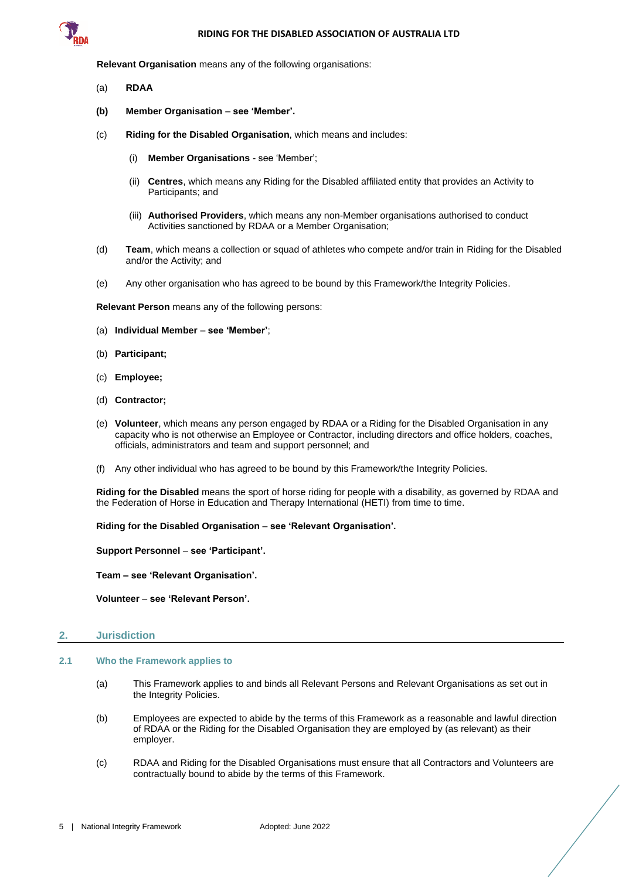

**Relevant Organisation** means any of the following organisations:

- (a) **RDAA**
- **(b) Member Organisation see 'Member'.**
- (c) **Riding for the Disabled Organisation**, which means and includes:
	- (i) **Member Organisations** see 'Member';
	- (ii) **Centres**, which means any Riding for the Disabled affiliated entity that provides an Activity to Participants; and
	- (iii) **Authorised Providers**, which means any non-Member organisations authorised to conduct Activities sanctioned by RDAA or a Member Organisation:
- (d) **Team**, which means a collection or squad of athletes who compete and/or train in Riding for the Disabled and/or the Activity; and
- (e) Any other organisation who has agreed to be bound by this Framework/the Integrity Policies.

**Relevant Person** means any of the following persons:

- (a) **Individual Member see 'Member'**;
- (b) **Participant;**
- (c) **Employee;**
- (d) **Contractor;**
- (e) **Volunteer**, which means any person engaged by RDAA or a Riding for the Disabled Organisation in any capacity who is not otherwise an Employee or Contractor, including directors and office holders, coaches, officials, administrators and team and support personnel; and
- (f) Any other individual who has agreed to be bound by this Framework/the Integrity Policies.

**Riding for the Disabled** means the sport of horse riding for people with a disability, as governed by RDAA and the Federation of Horse in Education and Therapy International (HETI) from time to time.

**Riding for the Disabled Organisation** – **see 'Relevant Organisation'.**

**Support Personnel** – **see 'Participant'.**

**Team – see 'Relevant Organisation'.** 

**Volunteer** – **see 'Relevant Person'.** 

#### <span id="page-4-0"></span>**2. Jurisdiction**

#### <span id="page-4-1"></span>**2.1 Who the Framework applies to**

- (a) This Framework applies to and binds all Relevant Persons and Relevant Organisations as set out in the Integrity Policies.
- (b) Employees are expected to abide by the terms of this Framework as a reasonable and lawful direction of RDAA or the Riding for the Disabled Organisation they are employed by (as relevant) as their employer.
- (c) RDAA and Riding for the Disabled Organisations must ensure that all Contractors and Volunteers are contractually bound to abide by the terms of this Framework.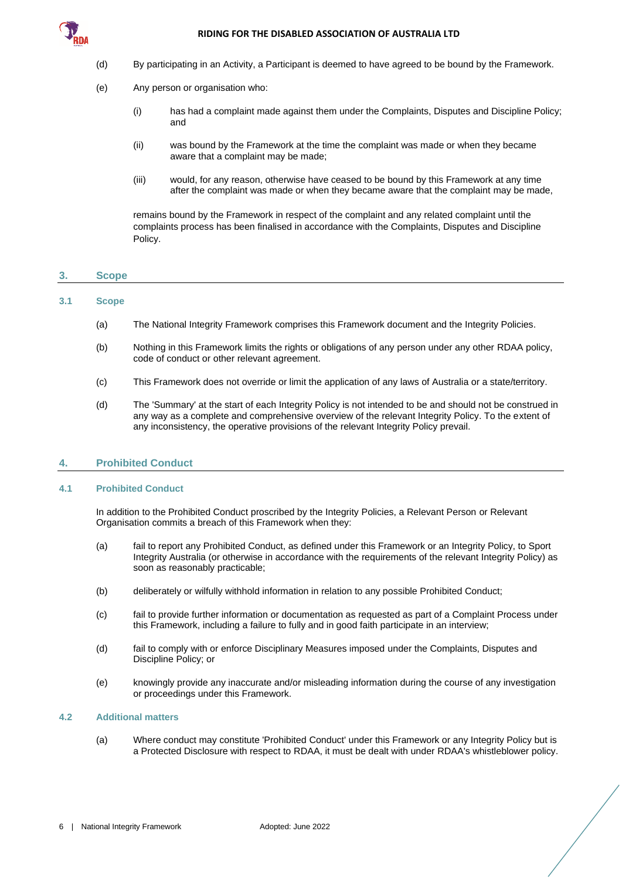

- (d) By participating in an Activity, a Participant is deemed to have agreed to be bound by the Framework.
- (e) Any person or organisation who:
	- (i) has had a complaint made against them under the Complaints, Disputes and Discipline Policy; and
	- (ii) was bound by the Framework at the time the complaint was made or when they became aware that a complaint may be made;
	- (iii) would, for any reason, otherwise have ceased to be bound by this Framework at any time after the complaint was made or when they became aware that the complaint may be made,

remains bound by the Framework in respect of the complaint and any related complaint until the complaints process has been finalised in accordance with the Complaints, Disputes and Discipline Policy.

## <span id="page-5-0"></span>**3. Scope**

## <span id="page-5-1"></span>**3.1 Scope**

- (a) The National Integrity Framework comprises this Framework document and the Integrity Policies.
- (b) Nothing in this Framework limits the rights or obligations of any person under any other RDAA policy, code of conduct or other relevant agreement.
- (c) This Framework does not override or limit the application of any laws of Australia or a state/territory.
- (d) The 'Summary' at the start of each Integrity Policy is not intended to be and should not be construed in any way as a complete and comprehensive overview of the relevant Integrity Policy. To the extent of any inconsistency, the operative provisions of the relevant Integrity Policy prevail.

## <span id="page-5-2"></span>**4. Prohibited Conduct**

## <span id="page-5-3"></span>**4.1 Prohibited Conduct**

In addition to the Prohibited Conduct proscribed by the Integrity Policies, a Relevant Person or Relevant Organisation commits a breach of this Framework when they:

- (a) fail to report any Prohibited Conduct, as defined under this Framework or an Integrity Policy, to Sport Integrity Australia (or otherwise in accordance with the requirements of the relevant Integrity Policy) as soon as reasonably practicable;
- (b) deliberately or wilfully withhold information in relation to any possible Prohibited Conduct;
- (c) fail to provide further information or documentation as requested as part of a Complaint Process under this Framework, including a failure to fully and in good faith participate in an interview;
- (d) fail to comply with or enforce Disciplinary Measures imposed under the Complaints, Disputes and Discipline Policy; or
- (e) knowingly provide any inaccurate and/or misleading information during the course of any investigation or proceedings under this Framework.

## <span id="page-5-4"></span>**4.2 Additional matters**

(a) Where conduct may constitute 'Prohibited Conduct' under this Framework or any Integrity Policy but is a Protected Disclosure with respect to RDAA, it must be dealt with under RDAA's whistleblower policy.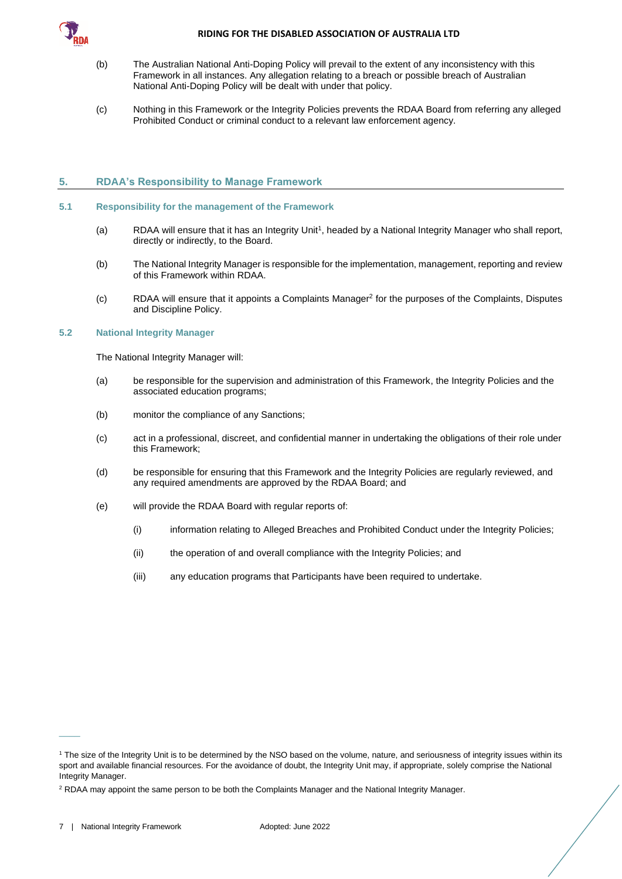

- (b) The Australian National Anti-Doping Policy will prevail to the extent of any inconsistency with this Framework in all instances. Any allegation relating to a breach or possible breach of Australian National Anti-Doping Policy will be dealt with under that policy.
- (c) Nothing in this Framework or the Integrity Policies prevents the RDAA Board from referring any alleged Prohibited Conduct or criminal conduct to a relevant law enforcement agency.

## <span id="page-6-0"></span>**5. RDAA's Responsibility to Manage Framework**

## <span id="page-6-1"></span>**5.1 Responsibility for the management of the Framework**

- (a) RDAA will ensure that it has an Integrity Unit<sup>1</sup>, headed by a National Integrity Manager who shall report, directly or indirectly, to the Board.
- (b) The National Integrity Manager is responsible for the implementation, management, reporting and review of this Framework within RDAA.
- (c) RDAA will ensure that it appoints a Complaints Manager<sup>2</sup> for the purposes of the Complaints, Disputes and Discipline Policy.

## <span id="page-6-2"></span>**5.2 National Integrity Manager**

The National Integrity Manager will:

- (a) be responsible for the supervision and administration of this Framework, the Integrity Policies and the associated education programs;
- (b) monitor the compliance of any Sanctions;
- (c) act in a professional, discreet, and confidential manner in undertaking the obligations of their role under this Framework;
- (d) be responsible for ensuring that this Framework and the Integrity Policies are regularly reviewed, and any required amendments are approved by the RDAA Board; and
- (e) will provide the RDAA Board with regular reports of:
	- (i) information relating to Alleged Breaches and Prohibited Conduct under the Integrity Policies;
	- (ii) the operation of and overall compliance with the Integrity Policies; and
	- (iii) any education programs that Participants have been required to undertake.

 $\overline{\phantom{a}}$ 

<sup>1</sup> The size of the Integrity Unit is to be determined by the NSO based on the volume, nature, and seriousness of integrity issues within its sport and available financial resources. For the avoidance of doubt, the Integrity Unit may, if appropriate, solely comprise the National Integrity Manager.

<sup>2</sup> RDAA may appoint the same person to be both the Complaints Manager and the National Integrity Manager.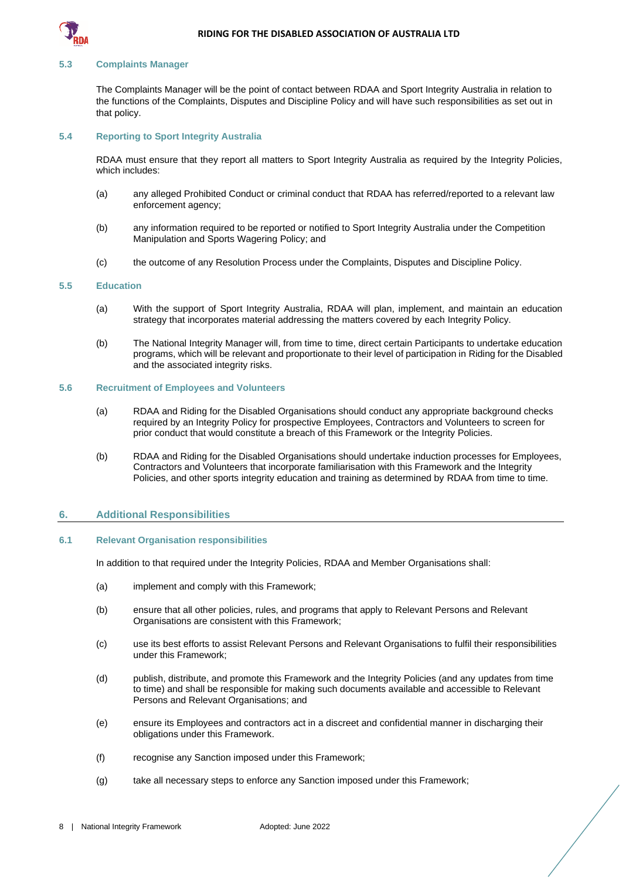

#### <span id="page-7-0"></span>**5.3 Complaints Manager**

The Complaints Manager will be the point of contact between RDAA and Sport Integrity Australia in relation to the functions of the Complaints, Disputes and Discipline Policy and will have such responsibilities as set out in that policy.

#### <span id="page-7-1"></span>**5.4 Reporting to Sport Integrity Australia**

RDAA must ensure that they report all matters to Sport Integrity Australia as required by the Integrity Policies, which includes:

- (a) any alleged Prohibited Conduct or criminal conduct that RDAA has referred/reported to a relevant law enforcement agency;
- (b) any information required to be reported or notified to Sport Integrity Australia under the Competition Manipulation and Sports Wagering Policy; and
- (c) the outcome of any Resolution Process under the Complaints, Disputes and Discipline Policy.

## <span id="page-7-2"></span>**5.5 Education**

- (a) With the support of Sport Integrity Australia, RDAA will plan, implement, and maintain an education strategy that incorporates material addressing the matters covered by each Integrity Policy.
- (b) The National Integrity Manager will, from time to time, direct certain Participants to undertake education programs, which will be relevant and proportionate to their level of participation in Riding for the Disabled and the associated integrity risks.

#### <span id="page-7-3"></span>**5.6 Recruitment of Employees and Volunteers**

- (a) RDAA and Riding for the Disabled Organisations should conduct any appropriate background checks required by an Integrity Policy for prospective Employees, Contractors and Volunteers to screen for prior conduct that would constitute a breach of this Framework or the Integrity Policies.
- (b) RDAA and Riding for the Disabled Organisations should undertake induction processes for Employees, Contractors and Volunteers that incorporate familiarisation with this Framework and the Integrity Policies, and other sports integrity education and training as determined by RDAA from time to time.

#### <span id="page-7-4"></span>**6. Additional Responsibilities**

#### <span id="page-7-5"></span>**6.1 Relevant Organisation responsibilities**

In addition to that required under the Integrity Policies, RDAA and Member Organisations shall:

- (a) implement and comply with this Framework;
- (b) ensure that all other policies, rules, and programs that apply to Relevant Persons and Relevant Organisations are consistent with this Framework;
- (c) use its best efforts to assist Relevant Persons and Relevant Organisations to fulfil their responsibilities under this Framework;
- (d) publish, distribute, and promote this Framework and the Integrity Policies (and any updates from time to time) and shall be responsible for making such documents available and accessible to Relevant Persons and Relevant Organisations; and
- (e) ensure its Employees and contractors act in a discreet and confidential manner in discharging their obligations under this Framework.
- (f) recognise any Sanction imposed under this Framework;
- (g) take all necessary steps to enforce any Sanction imposed under this Framework;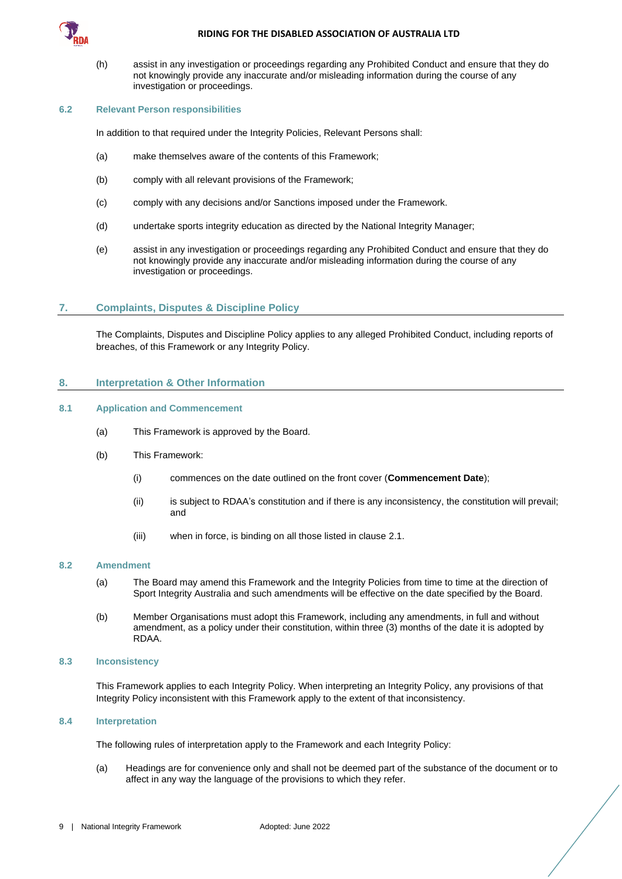

(h) assist in any investigation or proceedings regarding any Prohibited Conduct and ensure that they do not knowingly provide any inaccurate and/or misleading information during the course of any investigation or proceedings.

## <span id="page-8-0"></span>**6.2 Relevant Person responsibilities**

In addition to that required under the Integrity Policies, Relevant Persons shall:

- (a) make themselves aware of the contents of this Framework;
- (b) comply with all relevant provisions of the Framework;
- (c) comply with any decisions and/or Sanctions imposed under the Framework.
- (d) undertake sports integrity education as directed by the National Integrity Manager;
- (e) assist in any investigation or proceedings regarding any Prohibited Conduct and ensure that they do not knowingly provide any inaccurate and/or misleading information during the course of any investigation or proceedings.

## <span id="page-8-1"></span>**7. Complaints, Disputes & Discipline Policy**

The Complaints, Disputes and Discipline Policy applies to any alleged Prohibited Conduct, including reports of breaches, of this Framework or any Integrity Policy.

## <span id="page-8-2"></span>**8. Interpretation & Other Information**

## <span id="page-8-3"></span>**8.1 Application and Commencement**

- (a) This Framework is approved by the Board.
- (b) This Framework:
	- (i) commences on the date outlined on the front cover (**Commencement Date**);
	- (ii) is subject to RDAA's constitution and if there is any inconsistency, the constitution will prevail; and
	- (iii) when in force, is binding on all those listed in clause [2.1.](#page-4-1)

#### <span id="page-8-4"></span>**8.2 Amendment**

- (a) The Board may amend this Framework and the Integrity Policies from time to time at the direction of Sport Integrity Australia and such amendments will be effective on the date specified by the Board.
- (b) Member Organisations must adopt this Framework, including any amendments, in full and without amendment, as a policy under their constitution, within three (3) months of the date it is adopted by RDAA.

#### <span id="page-8-5"></span>**8.3 Inconsistency**

This Framework applies to each Integrity Policy. When interpreting an Integrity Policy, any provisions of that Integrity Policy inconsistent with this Framework apply to the extent of that inconsistency.

## <span id="page-8-6"></span>**8.4 Interpretation**

The following rules of interpretation apply to the Framework and each Integrity Policy:

(a) Headings are for convenience only and shall not be deemed part of the substance of the document or to affect in any way the language of the provisions to which they refer.